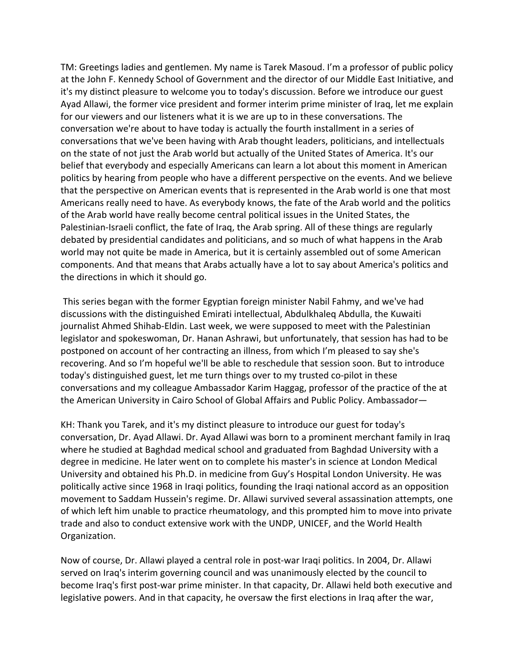TM: Greetings ladies and gentlemen. My name is Tarek Masoud. I'm a professor of public policy at the John F. Kennedy School of Government and the director of our Middle East Initiative, and it's my distinct pleasure to welcome you to today's discussion. Before we introduce our guest Ayad Allawi, the former vice president and former interim prime minister of Iraq, let me explain for our viewers and our listeners what it is we are up to in these conversations. The conversation we're about to have today is actually the fourth installment in a series of conversations that we've been having with Arab thought leaders, politicians, and intellectuals on the state of not just the Arab world but actually of the United States of America. It's our belief that everybody and especially Americans can learn a lot about this moment in American politics by hearing from people who have a different perspective on the events. And we believe that the perspective on American events that is represented in the Arab world is one that most Americans really need to have. As everybody knows, the fate of the Arab world and the politics of the Arab world have really become central political issues in the United States, the Palestinian-Israeli conflict, the fate of Iraq, the Arab spring. All of these things are regularly debated by presidential candidates and politicians, and so much of what happens in the Arab world may not quite be made in America, but it is certainly assembled out of some American components. And that means that Arabs actually have a lot to say about America's politics and the directions in which it should go.

This series began with the former Egyptian foreign minister Nabil Fahmy, and we've had discussions with the distinguished Emirati intellectual, Abdulkhaleq Abdulla, the Kuwaiti journalist Ahmed Shihab-Eldin. Last week, we were supposed to meet with the Palestinian legislator and spokeswoman, Dr. Hanan Ashrawi, but unfortunately, that session has had to be postponed on account of her contracting an illness, from which I'm pleased to say she's recovering. And so I'm hopeful we'll be able to reschedule that session soon. But to introduce today's distinguished guest, let me turn things over to my trusted co-pilot in these conversations and my colleague Ambassador Karim Haggag, professor of the practice of the at the American University in Cairo School of Global Affairs and Public Policy. Ambassador—

KH: Thank you Tarek, and it's my distinct pleasure to introduce our guest for today's conversation, Dr. Ayad Allawi. Dr. Ayad Allawi was born to a prominent merchant family in Iraq where he studied at Baghdad medical school and graduated from Baghdad University with a degree in medicine. He later went on to complete his master's in science at London Medical University and obtained his Ph.D. in medicine from Guy's Hospital London University. He was politically active since 1968 in Iraqi politics, founding the Iraqi national accord as an opposition movement to Saddam Hussein's regime. Dr. Allawi survived several assassination attempts, one of which left him unable to practice rheumatology, and this prompted him to move into private trade and also to conduct extensive work with the UNDP, UNICEF, and the World Health Organization.

Now of course, Dr. Allawi played a central role in post-war Iraqi politics. In 2004, Dr. Allawi served on Iraq's interim governing council and was unanimously elected by the council to become Iraq's first post-war prime minister. In that capacity, Dr. Allawi held both executive and legislative powers. And in that capacity, he oversaw the first elections in Iraq after the war,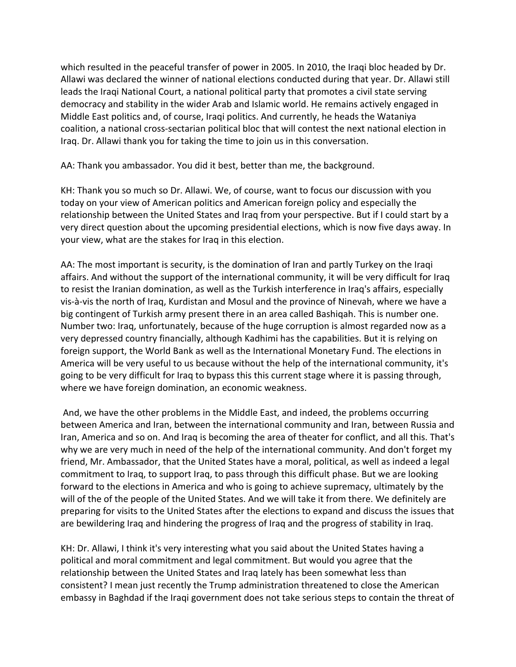which resulted in the peaceful transfer of power in 2005. In 2010, the Iraqi bloc headed by Dr. Allawi was declared the winner of national elections conducted during that year. Dr. Allawi still leads the Iraqi National Court, a national political party that promotes a civil state serving democracy and stability in the wider Arab and Islamic world. He remains actively engaged in Middle East politics and, of course, Iraqi politics. And currently, he heads the Wataniya coalition, a national cross-sectarian political bloc that will contest the next national election in Iraq. Dr. Allawi thank you for taking the time to join us in this conversation.

AA: Thank you ambassador. You did it best, better than me, the background.

KH: Thank you so much so Dr. Allawi. We, of course, want to focus our discussion with you today on your view of American politics and American foreign policy and especially the relationship between the United States and Iraq from your perspective. But if I could start by a very direct question about the upcoming presidential elections, which is now five days away. In your view, what are the stakes for Iraq in this election.

AA: The most important is security, is the domination of Iran and partly Turkey on the Iraqi affairs. And without the support of the international community, it will be very difficult for Iraq to resist the Iranian domination, as well as the Turkish interference in Iraq's affairs, especially vis-à-vis the north of Iraq, Kurdistan and Mosul and the province of Ninevah, where we have a big contingent of Turkish army present there in an area called Bashiqah. This is number one. Number two: Iraq, unfortunately, because of the huge corruption is almost regarded now as a very depressed country financially, although Kadhimi has the capabilities. But it is relying on foreign support, the World Bank as well as the International Monetary Fund. The elections in America will be very useful to us because without the help of the international community, it's going to be very difficult for Iraq to bypass this this current stage where it is passing through, where we have foreign domination, an economic weakness.

And, we have the other problems in the Middle East, and indeed, the problems occurring between America and Iran, between the international community and Iran, between Russia and Iran, America and so on. And Iraq is becoming the area of theater for conflict, and all this. That's why we are very much in need of the help of the international community. And don't forget my friend, Mr. Ambassador, that the United States have a moral, political, as well as indeed a legal commitment to Iraq, to support Iraq, to pass through this difficult phase. But we are looking forward to the elections in America and who is going to achieve supremacy, ultimately by the will of the of the people of the United States. And we will take it from there. We definitely are preparing for visits to the United States after the elections to expand and discuss the issues that are bewildering Iraq and hindering the progress of Iraq and the progress of stability in Iraq.

KH: Dr. Allawi, I think it's very interesting what you said about the United States having a political and moral commitment and legal commitment. But would you agree that the relationship between the United States and Iraq lately has been somewhat less than consistent? I mean just recently the Trump administration threatened to close the American embassy in Baghdad if the Iraqi government does not take serious steps to contain the threat of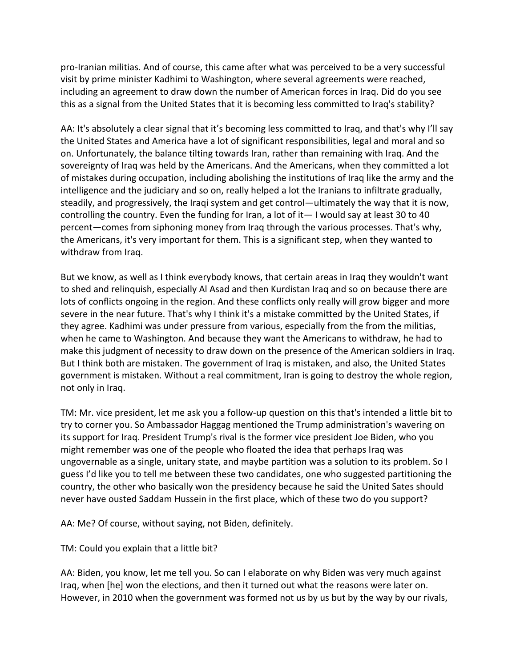pro-Iranian militias. And of course, this came after what was perceived to be a very successful visit by prime minister Kadhimi to Washington, where several agreements were reached, including an agreement to draw down the number of American forces in Iraq. Did do you see this as a signal from the United States that it is becoming less committed to Iraq's stability?

AA: It's absolutely a clear signal that it's becoming less committed to Iraq, and that's why I'll say the United States and America have a lot of significant responsibilities, legal and moral and so on. Unfortunately, the balance tilting towards Iran, rather than remaining with Iraq. And the sovereignty of Iraq was held by the Americans. And the Americans, when they committed a lot of mistakes during occupation, including abolishing the institutions of Iraq like the army and the intelligence and the judiciary and so on, really helped a lot the Iranians to infiltrate gradually, steadily, and progressively, the Iraqi system and get control—ultimately the way that it is now, controlling the country. Even the funding for Iran, a lot of it— I would say at least 30 to 40 percent—comes from siphoning money from Iraq through the various processes. That's why, the Americans, it's very important for them. This is a significant step, when they wanted to withdraw from Iraq.

But we know, as well as I think everybody knows, that certain areas in Iraq they wouldn't want to shed and relinquish, especially Al Asad and then Kurdistan Iraq and so on because there are lots of conflicts ongoing in the region. And these conflicts only really will grow bigger and more severe in the near future. That's why I think it's a mistake committed by the United States, if they agree. Kadhimi was under pressure from various, especially from the from the militias, when he came to Washington. And because they want the Americans to withdraw, he had to make this judgment of necessity to draw down on the presence of the American soldiers in Iraq. But I think both are mistaken. The government of Iraq is mistaken, and also, the United States government is mistaken. Without a real commitment, Iran is going to destroy the whole region, not only in Iraq.

TM: Mr. vice president, let me ask you a follow-up question on this that's intended a little bit to try to corner you. So Ambassador Haggag mentioned the Trump administration's wavering on its support for Iraq. President Trump's rival is the former vice president Joe Biden, who you might remember was one of the people who floated the idea that perhaps Iraq was ungovernable as a single, unitary state, and maybe partition was a solution to its problem. So I guess I'd like you to tell me between these two candidates, one who suggested partitioning the country, the other who basically won the presidency because he said the United Sates should never have ousted Saddam Hussein in the first place, which of these two do you support?

AA: Me? Of course, without saying, not Biden, definitely.

TM: Could you explain that a little bit?

AA: Biden, you know, let me tell you. So can I elaborate on why Biden was very much against Iraq, when [he] won the elections, and then it turned out what the reasons were later on. However, in 2010 when the government was formed not us by us but by the way by our rivals,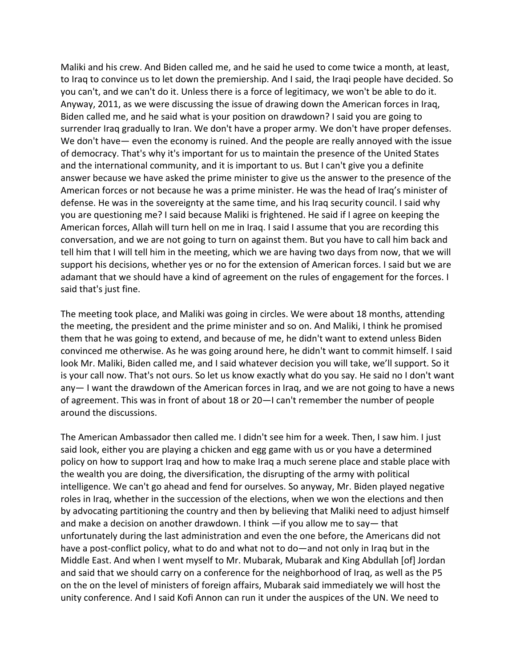Maliki and his crew. And Biden called me, and he said he used to come twice a month, at least, to Iraq to convince us to let down the premiership. And I said, the Iraqi people have decided. So you can't, and we can't do it. Unless there is a force of legitimacy, we won't be able to do it. Anyway, 2011, as we were discussing the issue of drawing down the American forces in Iraq, Biden called me, and he said what is your position on drawdown? I said you are going to surrender Iraq gradually to Iran. We don't have a proper army. We don't have proper defenses. We don't have— even the economy is ruined. And the people are really annoyed with the issue of democracy. That's why it's important for us to maintain the presence of the United States and the international community, and it is important to us. But I can't give you a definite answer because we have asked the prime minister to give us the answer to the presence of the American forces or not because he was a prime minister. He was the head of Iraq's minister of defense. He was in the sovereignty at the same time, and his Iraq security council. I said why you are questioning me? I said because Maliki is frightened. He said if I agree on keeping the American forces, Allah will turn hell on me in Iraq. I said I assume that you are recording this conversation, and we are not going to turn on against them. But you have to call him back and tell him that I will tell him in the meeting, which we are having two days from now, that we will support his decisions, whether yes or no for the extension of American forces. I said but we are adamant that we should have a kind of agreement on the rules of engagement for the forces. I said that's just fine.

The meeting took place, and Maliki was going in circles. We were about 18 months, attending the meeting, the president and the prime minister and so on. And Maliki, I think he promised them that he was going to extend, and because of me, he didn't want to extend unless Biden convinced me otherwise. As he was going around here, he didn't want to commit himself. I said look Mr. Maliki, Biden called me, and I said whatever decision you will take, we'll support. So it is your call now. That's not ours. So let us know exactly what do you say. He said no I don't want any— I want the drawdown of the American forces in Iraq, and we are not going to have a news of agreement. This was in front of about 18 or 20—I can't remember the number of people around the discussions.

The American Ambassador then called me. I didn't see him for a week. Then, I saw him. I just said look, either you are playing a chicken and egg game with us or you have a determined policy on how to support Iraq and how to make Iraq a much serene place and stable place with the wealth you are doing, the diversification, the disrupting of the army with political intelligence. We can't go ahead and fend for ourselves. So anyway, Mr. Biden played negative roles in Iraq, whether in the succession of the elections, when we won the elections and then by advocating partitioning the country and then by believing that Maliki need to adjust himself and make a decision on another drawdown. I think —if you allow me to say— that unfortunately during the last administration and even the one before, the Americans did not have a post-conflict policy, what to do and what not to do—and not only in Iraq but in the Middle East. And when I went myself to Mr. Mubarak, Mubarak and King Abdullah [of] Jordan and said that we should carry on a conference for the neighborhood of Iraq, as well as the P5 on the on the level of ministers of foreign affairs, Mubarak said immediately we will host the unity conference. And I said Kofi Annon can run it under the auspices of the UN. We need to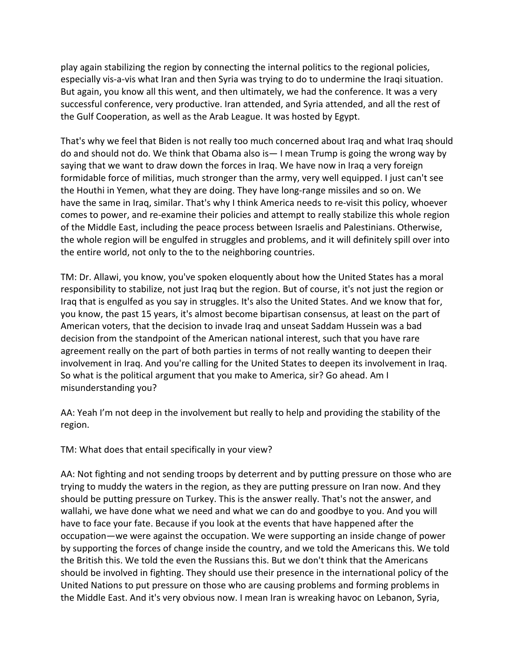play again stabilizing the region by connecting the internal politics to the regional policies, especially vis-a-vis what Iran and then Syria was trying to do to undermine the Iraqi situation. But again, you know all this went, and then ultimately, we had the conference. It was a very successful conference, very productive. Iran attended, and Syria attended, and all the rest of the Gulf Cooperation, as well as the Arab League. It was hosted by Egypt.

That's why we feel that Biden is not really too much concerned about Iraq and what Iraq should do and should not do. We think that Obama also is— I mean Trump is going the wrong way by saying that we want to draw down the forces in Iraq. We have now in Iraq a very foreign formidable force of militias, much stronger than the army, very well equipped. I just can't see the Houthi in Yemen, what they are doing. They have long-range missiles and so on. We have the same in Iraq, similar. That's why I think America needs to re-visit this policy, whoever comes to power, and re-examine their policies and attempt to really stabilize this whole region of the Middle East, including the peace process between Israelis and Palestinians. Otherwise, the whole region will be engulfed in struggles and problems, and it will definitely spill over into the entire world, not only to the to the neighboring countries.

TM: Dr. Allawi, you know, you've spoken eloquently about how the United States has a moral responsibility to stabilize, not just Iraq but the region. But of course, it's not just the region or Iraq that is engulfed as you say in struggles. It's also the United States. And we know that for, you know, the past 15 years, it's almost become bipartisan consensus, at least on the part of American voters, that the decision to invade Iraq and unseat Saddam Hussein was a bad decision from the standpoint of the American national interest, such that you have rare agreement really on the part of both parties in terms of not really wanting to deepen their involvement in Iraq. And you're calling for the United States to deepen its involvement in Iraq. So what is the political argument that you make to America, sir? Go ahead. Am I misunderstanding you?

AA: Yeah I'm not deep in the involvement but really to help and providing the stability of the region.

TM: What does that entail specifically in your view?

AA: Not fighting and not sending troops by deterrent and by putting pressure on those who are trying to muddy the waters in the region, as they are putting pressure on Iran now. And they should be putting pressure on Turkey. This is the answer really. That's not the answer, and wallahi, we have done what we need and what we can do and goodbye to you. And you will have to face your fate. Because if you look at the events that have happened after the occupation—we were against the occupation. We were supporting an inside change of power by supporting the forces of change inside the country, and we told the Americans this. We told the British this. We told the even the Russians this. But we don't think that the Americans should be involved in fighting. They should use their presence in the international policy of the United Nations to put pressure on those who are causing problems and forming problems in the Middle East. And it's very obvious now. I mean Iran is wreaking havoc on Lebanon, Syria,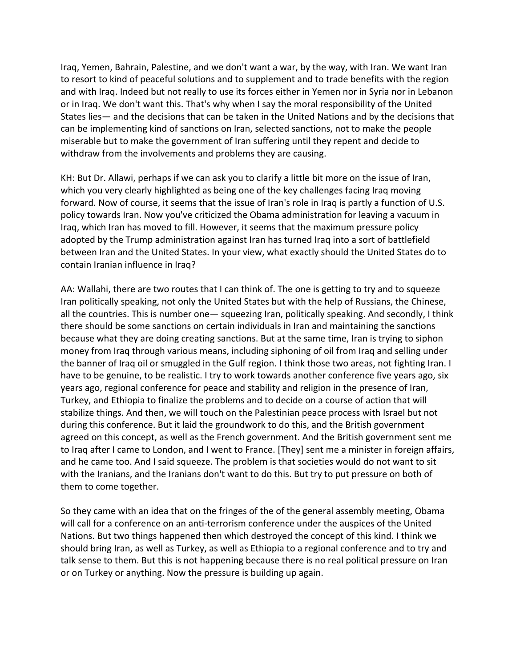Iraq, Yemen, Bahrain, Palestine, and we don't want a war, by the way, with Iran. We want Iran to resort to kind of peaceful solutions and to supplement and to trade benefits with the region and with Iraq. Indeed but not really to use its forces either in Yemen nor in Syria nor in Lebanon or in Iraq. We don't want this. That's why when I say the moral responsibility of the United States lies— and the decisions that can be taken in the United Nations and by the decisions that can be implementing kind of sanctions on Iran, selected sanctions, not to make the people miserable but to make the government of Iran suffering until they repent and decide to withdraw from the involvements and problems they are causing.

KH: But Dr. Allawi, perhaps if we can ask you to clarify a little bit more on the issue of Iran, which you very clearly highlighted as being one of the key challenges facing Iraq moving forward. Now of course, it seems that the issue of Iran's role in Iraq is partly a function of U.S. policy towards Iran. Now you've criticized the Obama administration for leaving a vacuum in Iraq, which Iran has moved to fill. However, it seems that the maximum pressure policy adopted by the Trump administration against Iran has turned Iraq into a sort of battlefield between Iran and the United States. In your view, what exactly should the United States do to contain Iranian influence in Iraq?

AA: Wallahi, there are two routes that I can think of. The one is getting to try and to squeeze Iran politically speaking, not only the United States but with the help of Russians, the Chinese, all the countries. This is number one— squeezing Iran, politically speaking. And secondly, I think there should be some sanctions on certain individuals in Iran and maintaining the sanctions because what they are doing creating sanctions. But at the same time, Iran is trying to siphon money from Iraq through various means, including siphoning of oil from Iraq and selling under the banner of Iraq oil or smuggled in the Gulf region. I think those two areas, not fighting Iran. I have to be genuine, to be realistic. I try to work towards another conference five years ago, six years ago, regional conference for peace and stability and religion in the presence of Iran, Turkey, and Ethiopia to finalize the problems and to decide on a course of action that will stabilize things. And then, we will touch on the Palestinian peace process with Israel but not during this conference. But it laid the groundwork to do this, and the British government agreed on this concept, as well as the French government. And the British government sent me to Iraq after I came to London, and I went to France. [They] sent me a minister in foreign affairs, and he came too. And I said squeeze. The problem is that societies would do not want to sit with the Iranians, and the Iranians don't want to do this. But try to put pressure on both of them to come together.

So they came with an idea that on the fringes of the of the general assembly meeting, Obama will call for a conference on an anti-terrorism conference under the auspices of the United Nations. But two things happened then which destroyed the concept of this kind. I think we should bring Iran, as well as Turkey, as well as Ethiopia to a regional conference and to try and talk sense to them. But this is not happening because there is no real political pressure on Iran or on Turkey or anything. Now the pressure is building up again.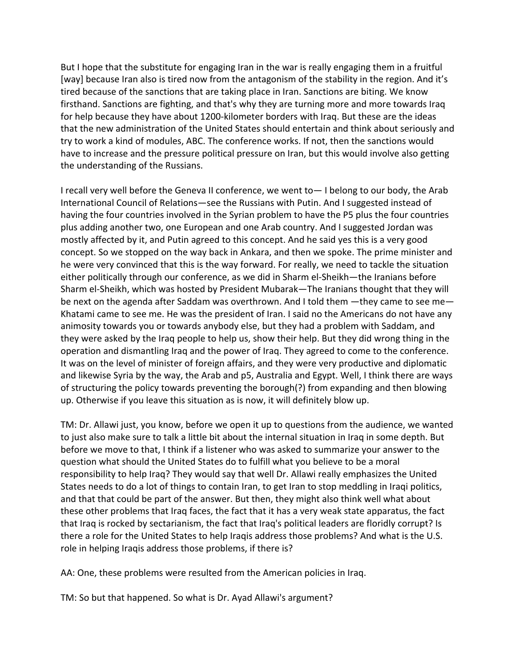But I hope that the substitute for engaging Iran in the war is really engaging them in a fruitful [way] because Iran also is tired now from the antagonism of the stability in the region. And it's tired because of the sanctions that are taking place in Iran. Sanctions are biting. We know firsthand. Sanctions are fighting, and that's why they are turning more and more towards Iraq for help because they have about 1200-kilometer borders with Iraq. But these are the ideas that the new administration of the United States should entertain and think about seriously and try to work a kind of modules, ABC. The conference works. If not, then the sanctions would have to increase and the pressure political pressure on Iran, but this would involve also getting the understanding of the Russians.

I recall very well before the Geneva II conference, we went to— I belong to our body, the Arab International Council of Relations—see the Russians with Putin. And I suggested instead of having the four countries involved in the Syrian problem to have the P5 plus the four countries plus adding another two, one European and one Arab country. And I suggested Jordan was mostly affected by it, and Putin agreed to this concept. And he said yes this is a very good concept. So we stopped on the way back in Ankara, and then we spoke. The prime minister and he were very convinced that this is the way forward. For really, we need to tackle the situation either politically through our conference, as we did in Sharm el-Sheikh—the Iranians before Sharm el-Sheikh, which was hosted by President Mubarak—The Iranians thought that they will be next on the agenda after Saddam was overthrown. And I told them —they came to see me— Khatami came to see me. He was the president of Iran. I said no the Americans do not have any animosity towards you or towards anybody else, but they had a problem with Saddam, and they were asked by the Iraq people to help us, show their help. But they did wrong thing in the operation and dismantling Iraq and the power of Iraq. They agreed to come to the conference. It was on the level of minister of foreign affairs, and they were very productive and diplomatic and likewise Syria by the way, the Arab and p5, Australia and Egypt. Well, I think there are ways of structuring the policy towards preventing the borough(?) from expanding and then blowing up. Otherwise if you leave this situation as is now, it will definitely blow up.

TM: Dr. Allawi just, you know, before we open it up to questions from the audience, we wanted to just also make sure to talk a little bit about the internal situation in Iraq in some depth. But before we move to that, I think if a listener who was asked to summarize your answer to the question what should the United States do to fulfill what you believe to be a moral responsibility to help Iraq? They would say that well Dr. Allawi really emphasizes the United States needs to do a lot of things to contain Iran, to get Iran to stop meddling in Iraqi politics, and that that could be part of the answer. But then, they might also think well what about these other problems that Iraq faces, the fact that it has a very weak state apparatus, the fact that Iraq is rocked by sectarianism, the fact that Iraq's political leaders are floridly corrupt? Is there a role for the United States to help Iraqis address those problems? And what is the U.S. role in helping Iraqis address those problems, if there is?

AA: One, these problems were resulted from the American policies in Iraq.

TM: So but that happened. So what is Dr. Ayad Allawi's argument?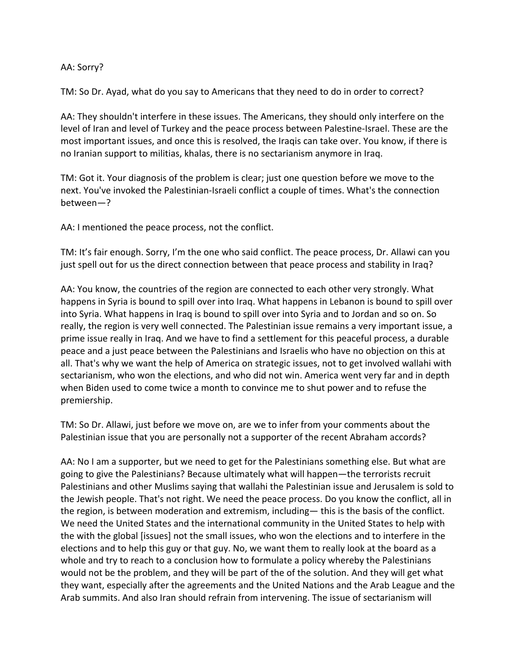## AA: Sorry?

TM: So Dr. Ayad, what do you say to Americans that they need to do in order to correct?

AA: They shouldn't interfere in these issues. The Americans, they should only interfere on the level of Iran and level of Turkey and the peace process between Palestine-Israel. These are the most important issues, and once this is resolved, the Iraqis can take over. You know, if there is no Iranian support to militias, khalas, there is no sectarianism anymore in Iraq.

TM: Got it. Your diagnosis of the problem is clear; just one question before we move to the next. You've invoked the Palestinian-Israeli conflict a couple of times. What's the connection between—?

AA: I mentioned the peace process, not the conflict.

TM: It's fair enough. Sorry, I'm the one who said conflict. The peace process, Dr. Allawi can you just spell out for us the direct connection between that peace process and stability in Iraq?

AA: You know, the countries of the region are connected to each other very strongly. What happens in Syria is bound to spill over into Iraq. What happens in Lebanon is bound to spill over into Syria. What happens in Iraq is bound to spill over into Syria and to Jordan and so on. So really, the region is very well connected. The Palestinian issue remains a very important issue, a prime issue really in Iraq. And we have to find a settlement for this peaceful process, a durable peace and a just peace between the Palestinians and Israelis who have no objection on this at all. That's why we want the help of America on strategic issues, not to get involved wallahi with sectarianism, who won the elections, and who did not win. America went very far and in depth when Biden used to come twice a month to convince me to shut power and to refuse the premiership.

TM: So Dr. Allawi, just before we move on, are we to infer from your comments about the Palestinian issue that you are personally not a supporter of the recent Abraham accords?

AA: No I am a supporter, but we need to get for the Palestinians something else. But what are going to give the Palestinians? Because ultimately what will happen—the terrorists recruit Palestinians and other Muslims saying that wallahi the Palestinian issue and Jerusalem is sold to the Jewish people. That's not right. We need the peace process. Do you know the conflict, all in the region, is between moderation and extremism, including— this is the basis of the conflict. We need the United States and the international community in the United States to help with the with the global [issues] not the small issues, who won the elections and to interfere in the elections and to help this guy or that guy. No, we want them to really look at the board as a whole and try to reach to a conclusion how to formulate a policy whereby the Palestinians would not be the problem, and they will be part of the of the solution. And they will get what they want, especially after the agreements and the United Nations and the Arab League and the Arab summits. And also Iran should refrain from intervening. The issue of sectarianism will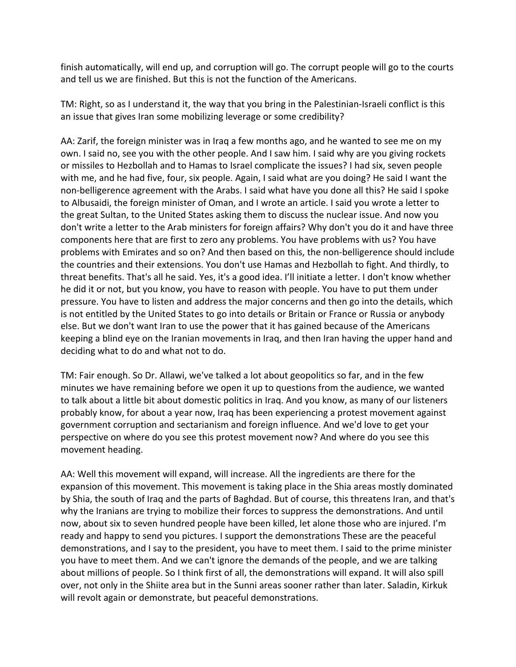finish automatically, will end up, and corruption will go. The corrupt people will go to the courts and tell us we are finished. But this is not the function of the Americans.

TM: Right, so as I understand it, the way that you bring in the Palestinian-Israeli conflict is this an issue that gives Iran some mobilizing leverage or some credibility?

AA: Zarif, the foreign minister was in Iraq a few months ago, and he wanted to see me on my own. I said no, see you with the other people. And I saw him. I said why are you giving rockets or missiles to Hezbollah and to Hamas to Israel complicate the issues? I had six, seven people with me, and he had five, four, six people. Again, I said what are you doing? He said I want the non-belligerence agreement with the Arabs. I said what have you done all this? He said I spoke to Albusaidi, the foreign minister of Oman, and I wrote an article. I said you wrote a letter to the great Sultan, to the United States asking them to discuss the nuclear issue. And now you don't write a letter to the Arab ministers for foreign affairs? Why don't you do it and have three components here that are first to zero any problems. You have problems with us? You have problems with Emirates and so on? And then based on this, the non-belligerence should include the countries and their extensions. You don't use Hamas and Hezbollah to fight. And thirdly, to threat benefits. That's all he said. Yes, it's a good idea. I'll initiate a letter. I don't know whether he did it or not, but you know, you have to reason with people. You have to put them under pressure. You have to listen and address the major concerns and then go into the details, which is not entitled by the United States to go into details or Britain or France or Russia or anybody else. But we don't want Iran to use the power that it has gained because of the Americans keeping a blind eye on the Iranian movements in Iraq, and then Iran having the upper hand and deciding what to do and what not to do.

TM: Fair enough. So Dr. Allawi, we've talked a lot about geopolitics so far, and in the few minutes we have remaining before we open it up to questions from the audience, we wanted to talk about a little bit about domestic politics in Iraq. And you know, as many of our listeners probably know, for about a year now, Iraq has been experiencing a protest movement against government corruption and sectarianism and foreign influence. And we'd love to get your perspective on where do you see this protest movement now? And where do you see this movement heading.

AA: Well this movement will expand, will increase. All the ingredients are there for the expansion of this movement. This movement is taking place in the Shia areas mostly dominated by Shia, the south of Iraq and the parts of Baghdad. But of course, this threatens Iran, and that's why the Iranians are trying to mobilize their forces to suppress the demonstrations. And until now, about six to seven hundred people have been killed, let alone those who are injured. I'm ready and happy to send you pictures. I support the demonstrations These are the peaceful demonstrations, and I say to the president, you have to meet them. I said to the prime minister you have to meet them. And we can't ignore the demands of the people, and we are talking about millions of people. So I think first of all, the demonstrations will expand. It will also spill over, not only in the Shiite area but in the Sunni areas sooner rather than later. Saladin, Kirkuk will revolt again or demonstrate, but peaceful demonstrations.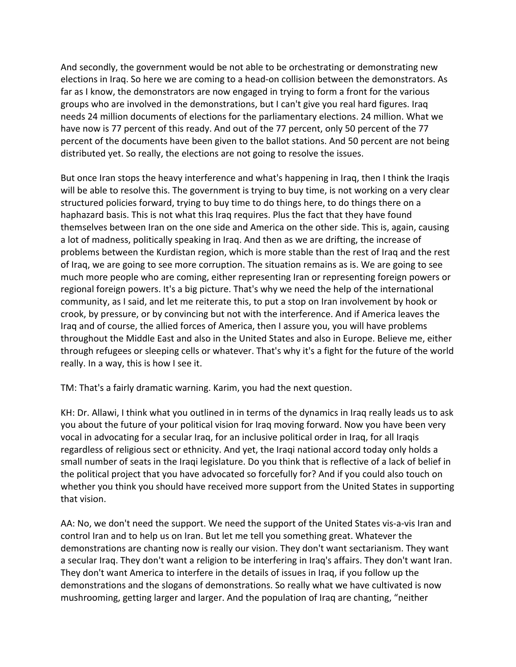And secondly, the government would be not able to be orchestrating or demonstrating new elections in Iraq. So here we are coming to a head-on collision between the demonstrators. As far as I know, the demonstrators are now engaged in trying to form a front for the various groups who are involved in the demonstrations, but I can't give you real hard figures. Iraq needs 24 million documents of elections for the parliamentary elections. 24 million. What we have now is 77 percent of this ready. And out of the 77 percent, only 50 percent of the 77 percent of the documents have been given to the ballot stations. And 50 percent are not being distributed yet. So really, the elections are not going to resolve the issues.

But once Iran stops the heavy interference and what's happening in Iraq, then I think the Iraqis will be able to resolve this. The government is trying to buy time, is not working on a very clear structured policies forward, trying to buy time to do things here, to do things there on a haphazard basis. This is not what this Iraq requires. Plus the fact that they have found themselves between Iran on the one side and America on the other side. This is, again, causing a lot of madness, politically speaking in Iraq. And then as we are drifting, the increase of problems between the Kurdistan region, which is more stable than the rest of Iraq and the rest of Iraq, we are going to see more corruption. The situation remains as is. We are going to see much more people who are coming, either representing Iran or representing foreign powers or regional foreign powers. It's a big picture. That's why we need the help of the international community, as I said, and let me reiterate this, to put a stop on Iran involvement by hook or crook, by pressure, or by convincing but not with the interference. And if America leaves the Iraq and of course, the allied forces of America, then I assure you, you will have problems throughout the Middle East and also in the United States and also in Europe. Believe me, either through refugees or sleeping cells or whatever. That's why it's a fight for the future of the world really. In a way, this is how I see it.

TM: That's a fairly dramatic warning. Karim, you had the next question.

KH: Dr. Allawi, I think what you outlined in in terms of the dynamics in Iraq really leads us to ask you about the future of your political vision for Iraq moving forward. Now you have been very vocal in advocating for a secular Iraq, for an inclusive political order in Iraq, for all Iraqis regardless of religious sect or ethnicity. And yet, the Iraqi national accord today only holds a small number of seats in the Iraqi legislature. Do you think that is reflective of a lack of belief in the political project that you have advocated so forcefully for? And if you could also touch on whether you think you should have received more support from the United States in supporting that vision.

AA: No, we don't need the support. We need the support of the United States vis-a-vis Iran and control Iran and to help us on Iran. But let me tell you something great. Whatever the demonstrations are chanting now is really our vision. They don't want sectarianism. They want a secular Iraq. They don't want a religion to be interfering in Iraq's affairs. They don't want Iran. They don't want America to interfere in the details of issues in Iraq, if you follow up the demonstrations and the slogans of demonstrations. So really what we have cultivated is now mushrooming, getting larger and larger. And the population of Iraq are chanting, "neither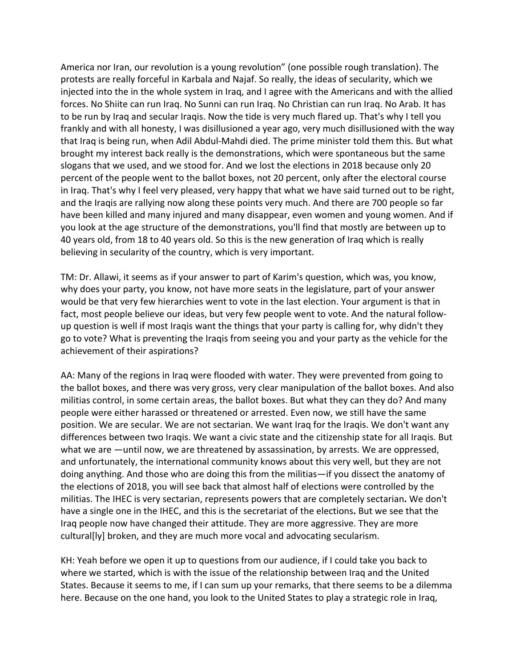America nor Iran, our revolution is a young revolution" (one possible rough translation). The protests are really forceful in Karbala and Najaf. So really, the ideas of secularity, which we injected into the in the whole system in Iraq, and I agree with the Americans and with the allied forces. No Shiite can run Iraq. No Sunni can run Iraq. No Christian can run Iraq. No Arab. It has to be run by Iraq and secular Iraqis. Now the tide is very much flared up. That's why I tell you frankly and with all honesty, I was disillusioned a year ago, very much disillusioned with the way that Iraq is being run, when Adil Abdul-Mahdi died. The prime minister told them this. But what brought my interest back really is the demonstrations, which were spontaneous but the same slogans that we used, and we stood for. And we lost the elections in 2018 because only 20 percent of the people went to the ballot boxes, not 20 percent, only after the electoral course in Iraq. That's why I feel very pleased, very happy that what we have said turned out to be right, and the Iraqis are rallying now along these points very much. And there are 700 people so far have been killed and many injured and many disappear, even women and young women. And if you look at the age structure of the demonstrations, you'll find that mostly are between up to 40 years old, from 18 to 40 years old. So this is the new generation of Iraq which is really believing in secularity of the country, which is very important.

TM: Dr. Allawi, it seems as if your answer to part of Karim's question, which was, you know, why does your party, you know, not have more seats in the legislature, part of your answer would be that very few hierarchies went to vote in the last election. Your argument is that in fact, most people believe our ideas, but very few people went to vote. And the natural followup question is well if most Iraqis want the things that your party is calling for, why didn't they go to vote? What is preventing the Iraqis from seeing you and your party as the vehicle for the achievement of their aspirations?

AA: Many of the regions in Iraq were flooded with water. They were prevented from going to the ballot boxes, and there was very gross, very clear manipulation of the ballot boxes. And also militias control, in some certain areas, the ballot boxes. But what they can they do? And many people were either harassed or threatened or arrested. Even now, we still have the same position. We are secular. We are not sectarian. We want Iraq for the Iraqis. We don't want any differences between two Iraqis. We want a civic state and the citizenship state for all Iraqis. But what we are —until now, we are threatened by assassination, by arrests. We are oppressed, and unfortunately, the international community knows about this very well, but they are not doing anything. And those who are doing this from the militias—if you dissect the anatomy of the elections of 2018, you will see back that almost half of elections were controlled by the militias. The IHEC is very sectarian, represents powers that are completely sectarian**.** We don't have a single one in the IHEC, and this is the secretariat of the elections**.** But we see that the Iraq people now have changed their attitude. They are more aggressive. They are more cultural[ly] broken, and they are much more vocal and advocating secularism.

KH: Yeah before we open it up to questions from our audience, if I could take you back to where we started, which is with the issue of the relationship between Iraq and the United States. Because it seems to me, if I can sum up your remarks, that there seems to be a dilemma here. Because on the one hand, you look to the United States to play a strategic role in Iraq,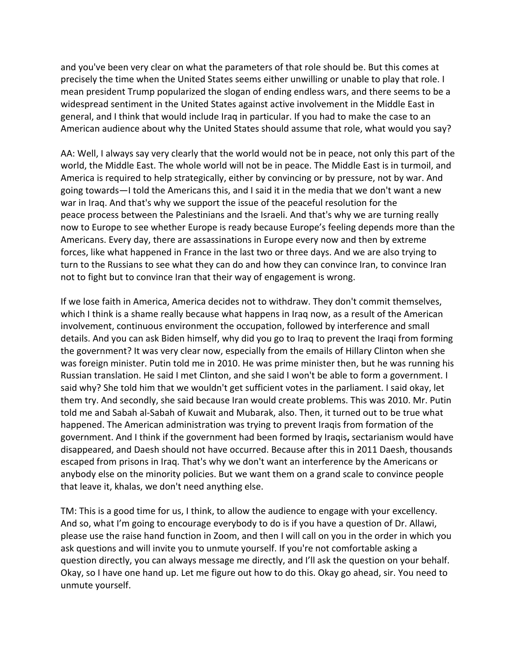and you've been very clear on what the parameters of that role should be. But this comes at precisely the time when the United States seems either unwilling or unable to play that role. I mean president Trump popularized the slogan of ending endless wars, and there seems to be a widespread sentiment in the United States against active involvement in the Middle East in general, and I think that would include Iraq in particular. If you had to make the case to an American audience about why the United States should assume that role, what would you say?

AA: Well, I always say very clearly that the world would not be in peace, not only this part of the world, the Middle East. The whole world will not be in peace. The Middle East is in turmoil, and America is required to help strategically, either by convincing or by pressure, not by war. And going towards—I told the Americans this, and I said it in the media that we don't want a new war in Iraq. And that's why we support the issue of the peaceful resolution for the peace process between the Palestinians and the Israeli. And that's why we are turning really now to Europe to see whether Europe is ready because Europe's feeling depends more than the Americans. Every day, there are assassinations in Europe every now and then by extreme forces, like what happened in France in the last two or three days. And we are also trying to turn to the Russians to see what they can do and how they can convince Iran, to convince Iran not to fight but to convince Iran that their way of engagement is wrong.

If we lose faith in America, America decides not to withdraw. They don't commit themselves, which I think is a shame really because what happens in Iraq now, as a result of the American involvement, continuous environment the occupation, followed by interference and small details. And you can ask Biden himself, why did you go to Iraq to prevent the Iraqi from forming the government? It was very clear now, especially from the emails of Hillary Clinton when she was foreign minister. Putin told me in 2010. He was prime minister then, but he was running his Russian translation. He said I met Clinton, and she said I won't be able to form a government. I said why? She told him that we wouldn't get sufficient votes in the parliament. I said okay, let them try. And secondly, she said because Iran would create problems. This was 2010. Mr. Putin told me and Sabah al-Sabah of Kuwait and Mubarak, also. Then, it turned out to be true what happened. The American administration was trying to prevent Iraqis from formation of the government. And I think if the government had been formed by Iraqis**,** sectarianism would have disappeared, and Daesh should not have occurred. Because after this in 2011 Daesh, thousands escaped from prisons in Iraq. That's why we don't want an interference by the Americans or anybody else on the minority policies. But we want them on a grand scale to convince people that leave it, khalas, we don't need anything else.

TM: This is a good time for us, I think, to allow the audience to engage with your excellency. And so, what I'm going to encourage everybody to do is if you have a question of Dr. Allawi, please use the raise hand function in Zoom, and then I will call on you in the order in which you ask questions and will invite you to unmute yourself. If you're not comfortable asking a question directly, you can always message me directly, and I'll ask the question on your behalf. Okay, so I have one hand up. Let me figure out how to do this. Okay go ahead, sir. You need to unmute yourself.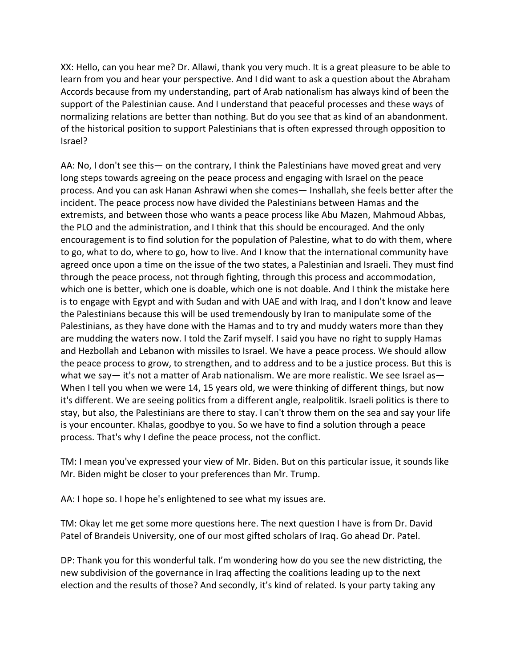XX: Hello, can you hear me? Dr. Allawi, thank you very much. It is a great pleasure to be able to learn from you and hear your perspective. And I did want to ask a question about the Abraham Accords because from my understanding, part of Arab nationalism has always kind of been the support of the Palestinian cause. And I understand that peaceful processes and these ways of normalizing relations are better than nothing. But do you see that as kind of an abandonment. of the historical position to support Palestinians that is often expressed through opposition to Israel?

AA: No, I don't see this— on the contrary, I think the Palestinians have moved great and very long steps towards agreeing on the peace process and engaging with Israel on the peace process. And you can ask Hanan Ashrawi when she comes— Inshallah, she feels better after the incident. The peace process now have divided the Palestinians between Hamas and the extremists, and between those who wants a peace process like Abu Mazen, Mahmoud Abbas, the PLO and the administration, and I think that this should be encouraged. And the only encouragement is to find solution for the population of Palestine, what to do with them, where to go, what to do, where to go, how to live. And I know that the international community have agreed once upon a time on the issue of the two states, a Palestinian and Israeli. They must find through the peace process, not through fighting, through this process and accommodation, which one is better, which one is doable, which one is not doable. And I think the mistake here is to engage with Egypt and with Sudan and with UAE and with Iraq, and I don't know and leave the Palestinians because this will be used tremendously by Iran to manipulate some of the Palestinians, as they have done with the Hamas and to try and muddy waters more than they are mudding the waters now. I told the Zarif myself. I said you have no right to supply Hamas and Hezbollah and Lebanon with missiles to Israel. We have a peace process. We should allow the peace process to grow, to strengthen, and to address and to be a justice process. But this is what we say— it's not a matter of Arab nationalism. We are more realistic. We see Israel as— When I tell you when we were 14, 15 years old, we were thinking of different things, but now it's different. We are seeing politics from a different angle, realpolitik. Israeli politics is there to stay, but also, the Palestinians are there to stay. I can't throw them on the sea and say your life is your encounter. Khalas, goodbye to you. So we have to find a solution through a peace process. That's why I define the peace process, not the conflict.

TM: I mean you've expressed your view of Mr. Biden. But on this particular issue, it sounds like Mr. Biden might be closer to your preferences than Mr. Trump.

AA: I hope so. I hope he's enlightened to see what my issues are.

TM: Okay let me get some more questions here. The next question I have is from Dr. David Patel of Brandeis University, one of our most gifted scholars of Iraq. Go ahead Dr. Patel.

DP: Thank you for this wonderful talk. I'm wondering how do you see the new districting, the new subdivision of the governance in Iraq affecting the coalitions leading up to the next election and the results of those? And secondly, it's kind of related. Is your party taking any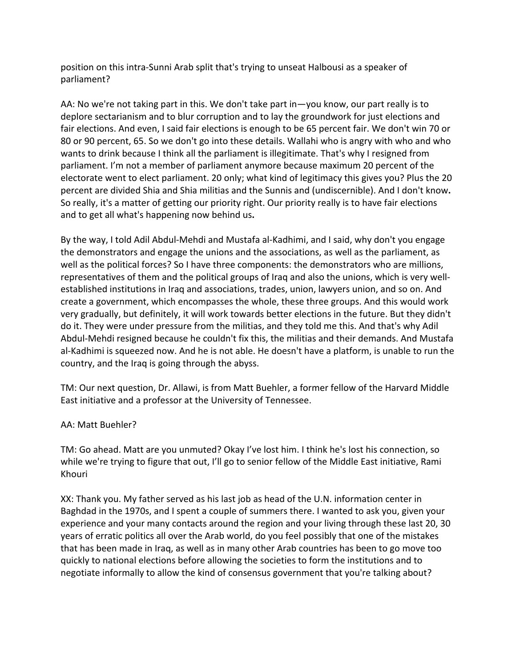position on this intra-Sunni Arab split that's trying to unseat Halbousi as a speaker of parliament?

AA: No we're not taking part in this. We don't take part in—you know, our part really is to deplore sectarianism and to blur corruption and to lay the groundwork for just elections and fair elections. And even, I said fair elections is enough to be 65 percent fair. We don't win 70 or 80 or 90 percent, 65. So we don't go into these details. Wallahi who is angry with who and who wants to drink because I think all the parliament is illegitimate. That's why I resigned from parliament. I'm not a member of parliament anymore because maximum 20 percent of the electorate went to elect parliament. 20 only; what kind of legitimacy this gives you? Plus the 20 percent are divided Shia and Shia militias and the Sunnis and (undiscernible). And I don't know**.**  So really, it's a matter of getting our priority right. Our priority really is to have fair elections and to get all what's happening now behind us**.**

By the way, I told Adil Abdul-Mehdi and Mustafa al-Kadhimi, and I said, why don't you engage the demonstrators and engage the unions and the associations, as well as the parliament, as well as the political forces? So I have three components: the demonstrators who are millions, representatives of them and the political groups of Iraq and also the unions, which is very wellestablished institutions in Iraq and associations, trades, union, lawyers union, and so on. And create a government, which encompasses the whole, these three groups. And this would work very gradually, but definitely, it will work towards better elections in the future. But they didn't do it. They were under pressure from the militias, and they told me this. And that's why Adil Abdul-Mehdi resigned because he couldn't fix this, the militias and their demands. And Mustafa al-Kadhimi is squeezed now. And he is not able. He doesn't have a platform, is unable to run the country, and the Iraq is going through the abyss.

TM: Our next question, Dr. Allawi, is from Matt Buehler, a former fellow of the Harvard Middle East initiative and a professor at the University of Tennessee.

## AA: Matt Buehler?

TM: Go ahead. Matt are you unmuted? Okay I've lost him. I think he's lost his connection, so while we're trying to figure that out, I'll go to senior fellow of the Middle East initiative, Rami Khouri

XX: Thank you. My father served as his last job as head of the U.N. information center in Baghdad in the 1970s, and I spent a couple of summers there. I wanted to ask you, given your experience and your many contacts around the region and your living through these last 20, 30 years of erratic politics all over the Arab world, do you feel possibly that one of the mistakes that has been made in Iraq, as well as in many other Arab countries has been to go move too quickly to national elections before allowing the societies to form the institutions and to negotiate informally to allow the kind of consensus government that you're talking about?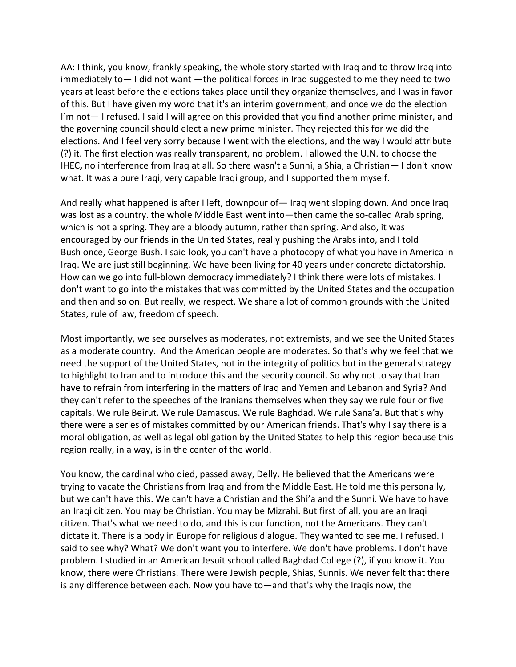AA: I think, you know, frankly speaking, the whole story started with Iraq and to throw Iraq into immediately to— I did not want —the political forces in Iraq suggested to me they need to two years at least before the elections takes place until they organize themselves, and I was in favor of this. But I have given my word that it's an interim government, and once we do the election I'm not— I refused. I said I will agree on this provided that you find another prime minister, and the governing council should elect a new prime minister. They rejected this for we did the elections. And I feel very sorry because I went with the elections, and the way I would attribute (?) it. The first election was really transparent, no problem. I allowed the U.N. to choose the IHEC**,** no interference from Iraq at all. So there wasn't a Sunni, a Shia, a Christian— I don't know what. It was a pure Iraqi, very capable Iraqi group, and I supported them myself.

And really what happened is after I left, downpour of— Iraq went sloping down. And once Iraq was lost as a country. the whole Middle East went into—then came the so-called Arab spring, which is not a spring. They are a bloody autumn, rather than spring. And also, it was encouraged by our friends in the United States, really pushing the Arabs into, and I told Bush once, George Bush. I said look, you can't have a photocopy of what you have in America in Iraq. We are just still beginning. We have been living for 40 years under concrete dictatorship. How can we go into full-blown democracy immediately? I think there were lots of mistakes. I don't want to go into the mistakes that was committed by the United States and the occupation and then and so on. But really, we respect. We share a lot of common grounds with the United States, rule of law, freedom of speech.

Most importantly, we see ourselves as moderates, not extremists, and we see the United States as a moderate country. And the American people are moderates. So that's why we feel that we need the support of the United States, not in the integrity of politics but in the general strategy to highlight to Iran and to introduce this and the security council. So why not to say that Iran have to refrain from interfering in the matters of Iraq and Yemen and Lebanon and Syria? And they can't refer to the speeches of the Iranians themselves when they say we rule four or five capitals. We rule Beirut. We rule Damascus. We rule Baghdad. We rule Sana'a. But that's why there were a series of mistakes committed by our American friends. That's why I say there is a moral obligation, as well as legal obligation by the United States to help this region because this region really, in a way, is in the center of the world.

You know, the cardinal who died, passed away, Delly**.** He believed that the Americans were trying to vacate the Christians from Iraq and from the Middle East. He told me this personally, but we can't have this. We can't have a Christian and the Shi'a and the Sunni. We have to have an Iraqi citizen. You may be Christian. You may be Mizrahi. But first of all, you are an Iraqi citizen. That's what we need to do, and this is our function, not the Americans. They can't dictate it. There is a body in Europe for religious dialogue. They wanted to see me. I refused. I said to see why? What? We don't want you to interfere. We don't have problems. I don't have problem. I studied in an American Jesuit school called Baghdad College (?), if you know it. You know, there were Christians. There were Jewish people, Shias, Sunnis. We never felt that there is any difference between each. Now you have to—and that's why the Iraqis now, the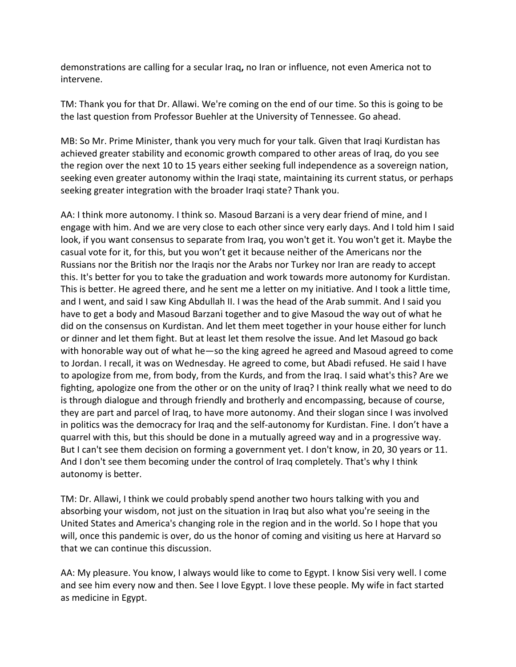demonstrations are calling for a secular Iraq**,** no Iran or influence, not even America not to intervene.

TM: Thank you for that Dr. Allawi. We're coming on the end of our time. So this is going to be the last question from Professor Buehler at the University of Tennessee. Go ahead.

MB: So Mr. Prime Minister, thank you very much for your talk. Given that Iraqi Kurdistan has achieved greater stability and economic growth compared to other areas of Iraq, do you see the region over the next 10 to 15 years either seeking full independence as a sovereign nation, seeking even greater autonomy within the Iraqi state, maintaining its current status, or perhaps seeking greater integration with the broader Iraqi state? Thank you.

AA: I think more autonomy. I think so. Masoud Barzani is a very dear friend of mine, and I engage with him. And we are very close to each other since very early days. And I told him I said look, if you want consensus to separate from Iraq, you won't get it. You won't get it. Maybe the casual vote for it, for this, but you won't get it because neither of the Americans nor the Russians nor the British nor the Iraqis nor the Arabs nor Turkey nor Iran are ready to accept this. It's better for you to take the graduation and work towards more autonomy for Kurdistan. This is better. He agreed there, and he sent me a letter on my initiative. And I took a little time, and I went, and said I saw King Abdullah II. I was the head of the Arab summit. And I said you have to get a body and Masoud Barzani together and to give Masoud the way out of what he did on the consensus on Kurdistan. And let them meet together in your house either for lunch or dinner and let them fight. But at least let them resolve the issue. And let Masoud go back with honorable way out of what he—so the king agreed he agreed and Masoud agreed to come to Jordan. I recall, it was on Wednesday. He agreed to come, but Abadi refused. He said I have to apologize from me, from body, from the Kurds, and from the Iraq. I said what's this? Are we fighting, apologize one from the other or on the unity of Iraq? I think really what we need to do is through dialogue and through friendly and brotherly and encompassing, because of course, they are part and parcel of Iraq, to have more autonomy. And their slogan since I was involved in politics was the democracy for Iraq and the self-autonomy for Kurdistan. Fine. I don't have a quarrel with this, but this should be done in a mutually agreed way and in a progressive way. But I can't see them decision on forming a government yet. I don't know, in 20, 30 years or 11. And I don't see them becoming under the control of Iraq completely. That's why I think autonomy is better.

TM: Dr. Allawi, I think we could probably spend another two hours talking with you and absorbing your wisdom, not just on the situation in Iraq but also what you're seeing in the United States and America's changing role in the region and in the world. So I hope that you will, once this pandemic is over, do us the honor of coming and visiting us here at Harvard so that we can continue this discussion.

AA: My pleasure. You know, I always would like to come to Egypt. I know Sisi very well. I come and see him every now and then. See I love Egypt. I love these people. My wife in fact started as medicine in Egypt.